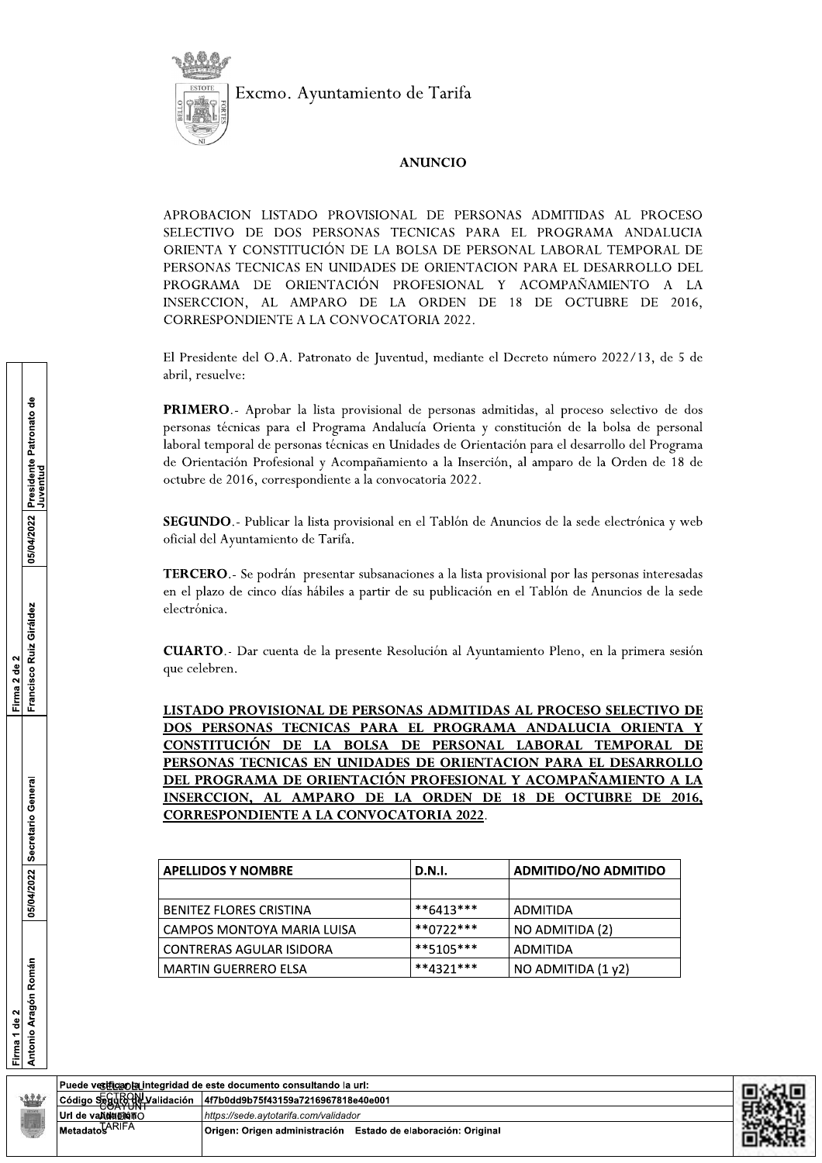

Excmo. Ayuntamiento de Tarifa

## **ANUNCIO**

APROBACION LISTADO PROVISIONAL DE PERSONAS ADMITIDAS AL PROCESO SELECTIVO DE DOS PERSONAS TECNICAS PARA EL PROGRAMA ANDALUCIA ORIENTA Y CONSTITUCIÓN DE LA BOLSA DE PERSONAL LABORAL TEMPORAL DE PERSONAS TECNICAS EN UNIDADES DE ORIENTACION PARA EL DESARROLLO DEL PROGRAMA DE ORIENTACIÓN PROFESIONAL Y ACOMPAÑAMIENTO A LA INSERCCION, AL AMPARO DE LA ORDEN DE 18 DE OCTUBRE DE 2016, CORRESPONDIENTE A LA CONVOCATORIA 2022.

El Presidente del O.A. Patronato de Juventud, mediante el Decreto número 2022/13, de 5 de abril, resuelve:

PRIMERO.- Aprobar la lista provisional de personas admitidas, al proceso selectivo de dos personas técnicas para el Programa Andalucía Orienta y constitución de la bolsa de personal laboral temporal de personas técnicas en Unidades de Orientación para el desarrollo del Programa de Orientación Profesional y Acompañamiento a la Inserción, al amparo de la Orden de 18 de octubre de 2016, correspondiente a la convocatoria 2022.

SEGUNDO.- Publicar la lista provisional en el Tablón de Anuncios de la sede electrónica y web oficial del Ayuntamiento de Tarifa.

**TERCERO**.- Se podrán presentar subsanaciones a la lista provisional por las personas interesadas en el plazo de cinco días hábiles a partir de su publicación en el Tablón de Anuncios de la sede electrónica.

**CUARTO.** - Dar cuenta de la presente Resolución al Ayuntamiento Pleno, en la primera sesión que celebren.

LISTADO PROVISIONAL DE PERSONAS ADMITIDAS AL PROCESO SELECTIVO DE DOS PERSONAS TECNICAS PARA EL PROGRAMA ANDALUCIA ORIENTA CONSTITUCIÓN DE LA BOLSA DE PERSONAL LABORAL TEMPORAL DE PERSONAS TECNICAS EN UNIDADES DE ORIENTACION PARA EL DESARROLLO DEL PROGRAMA DE ORIENTACIÓN PROFESIONAL Y ACOMPAÑAMIENTO A LA INSERCCION, AL AMPARO DE LA ORDEN DE 18 DE OCTUBRE DE 2016, **CORRESPONDIENTE A LA CONVOCATORIA 2022.** 

| <b>D.N.I.</b><br><b>APELLIDOS Y NOMBRE</b> |              | <b>ADMITIDO/NO ADMITIDO</b> |  |
|--------------------------------------------|--------------|-----------------------------|--|
|                                            |              |                             |  |
| <b>BENITEZ FLORES CRISTINA</b>             | $**6413***$  | ADMITIDA                    |  |
| I CAMPOS MONTOYA MARIA LUISA               | $**0722***$  | NO ADMITIDA (2)             |  |
| CONTRERAS AGULAR ISIDORA                   | $***5105***$ | ADMITIDA                    |  |
| l MARTIN GUERRERO ELSA                     | $**4321***$  | NO ADMITIDA (1 y2)          |  |







Puede vestrica da integridad de este documento consultando la url: Código Seguro Ny Validación 4f7b0dd9b75f43159a7216967818e40e001 Url de vaAMBENTO https://sede.aytotarifa.com/validador Metadato HRIFA Origen: Origen administración Estado de elaboración: Original